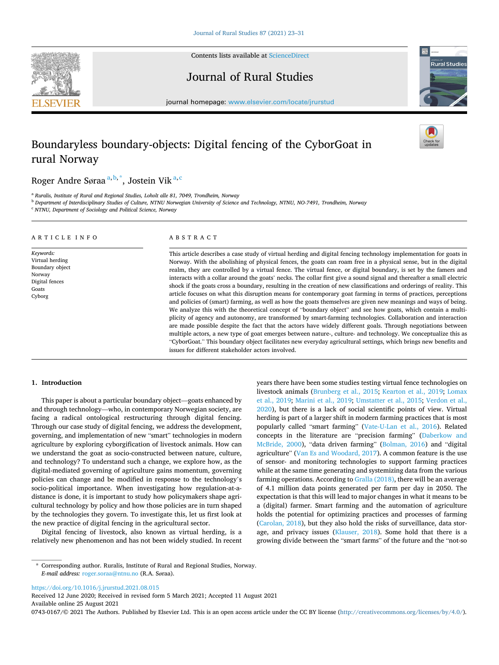



Journal of Rural Studies



journal homepage: [www.elsevier.com/locate/jrurstud](https://www.elsevier.com/locate/jrurstud)

# Boundaryless boundary-objects: Digital fencing of the CyborGoat in rural Norway

Roger Andre Søraa<sup>a, b, \*</sup>, Jostein Vik<sup>a, c</sup>

<sup>a</sup> *Ruralis, Institute of Rural and Regional Studies, Loholt alle 81, 7049, Trondheim, Norway* 

<sup>b</sup> *Department of Interdisciplinary Studies of Culture, NTNU Norwegian University of Science and Technology, NTNU, NO-7491, Trondheim, Norway* 

<sup>c</sup> *NTNU, Department of Sociology and Political Science, Norway* 

#### ARTICLE INFO *Keywords:*  Virtual herding Boundary object Norway Digital fences Goats Cyborg ABSTRACT This article describes a case study of virtual herding and digital fencing technology implementation for goats in Norway. With the abolishing of physical fences, the goats can roam free in a physical sense, but in the digital realm, they are controlled by a virtual fence. The virtual fence, or digital boundary, is set by the famers and interacts with a collar around the goats' necks. The collar first give a sound signal and thereafter a small electric shock if the goats cross a boundary, resulting in the creation of new classifications and orderings of reality. This article focuses on what this disruption means for contemporary goat farming in terms of practices, perceptions and policies of (smart) farming, as well as how the goats themselves are given new meanings and ways of being. We analyze this with the theoretical concept of "boundary object" and see how goats, which contain a multiplicity of agency and autonomy, are transformed by smart-farming technologies. Collaboration and interaction are made possible despite the fact that the actors have widely different goals. Through negotiations between multiple actors, a new type of goat emerges between nature-, culture- and technology. We conceptualize this as "CyborGoat." This boundary object facilitates new everyday agricultural settings, which brings new benefits and issues for different stakeholder actors involved.

#### **1. Introduction**

This paper is about a particular boundary object—goats enhanced by and through technology—who, in contemporary Norwegian society, are facing a radical ontological restructuring through digital fencing. Through our case study of digital fencing, we address the development, governing, and implementation of new "smart" technologies in modern agriculture by exploring cyborgification of livestock animals. How can we understand the goat as socio-constructed between nature, culture, and technology? To understand such a change, we explore how, as the digital-mediated governing of agriculture gains momentum, governing policies can change and be modified in response to the technology's socio-political importance. When investigating how regulation-at-adistance is done, it is important to study how policymakers shape agricultural technology by policy and how those policies are in turn shaped by the technologies they govern. To investigate this, let us first look at the new practice of digital fencing in the agricultural sector.

Digital fencing of livestock, also known as virtual herding, is a relatively new phenomenon and has not been widely studied. In recent years there have been some studies testing virtual fence technologies on livestock animals [\(Brunberg et al., 2015](#page-7-0); [Kearton et al., 2019;](#page-7-0) [Lomax](#page-7-0)  [et al., 2019;](#page-7-0) [Marini et al., 2019](#page-7-0); [Umstatter et al., 2015;](#page-7-0) [Verdon et al.,](#page-7-0)  [2020\)](#page-7-0), but there is a lack of social scientific points of view. Virtual herding is part of a larger shift in modern farming practices that is most popularly called "smart farming" ([Vate-U-Lan et al., 2016\)](#page-7-0). Related concepts in the literature are "precision farming" ([Daberkow and](#page-7-0)  [McBride, 2000](#page-7-0)), "data driven farming" ([Bolman, 2016\)](#page-7-0) and "digital agriculture" ([Van Es and Woodard, 2017](#page-7-0)). A common feature is the use of sensor- and monitoring technologies to support farming practices while at the same time generating and systemizing data from the various farming operations. According to [Gralla \(2018\),](#page-7-0) there will be an average of 4.1 million data points generated per farm per day in 2050. The expectation is that this will lead to major changes in what it means to be a (digital) farmer. Smart farming and the automation of agriculture holds the potential for optimizing practices and processes of farming ([Carolan, 2018\)](#page-7-0), but they also hold the risks of surveillance, data storage, and privacy issues [\(Klauser, 2018\)](#page-7-0). Some hold that there is a growing divide between the "smart farms" of the future and the "not-so

<https://doi.org/10.1016/j.jrurstud.2021.08.015>

Available online 25 August 2021 Received 12 June 2020; Received in revised form 5 March 2021; Accepted 11 August 2021

0743-0167/© 2021 The Authors. Published by Elsevier Ltd. This is an open access article under the CC BY license [\(http://creativecommons.org/licenses/by/4.0/\)](http://creativecommons.org/licenses/by/4.0/).

<sup>\*</sup> Corresponding author. Ruralis, Institute of Rural and Regional Studies, Norway. *E-mail address:* [roger.soraa@ntnu.no](mailto:roger.soraa@ntnu.no) (R.A. Søraa).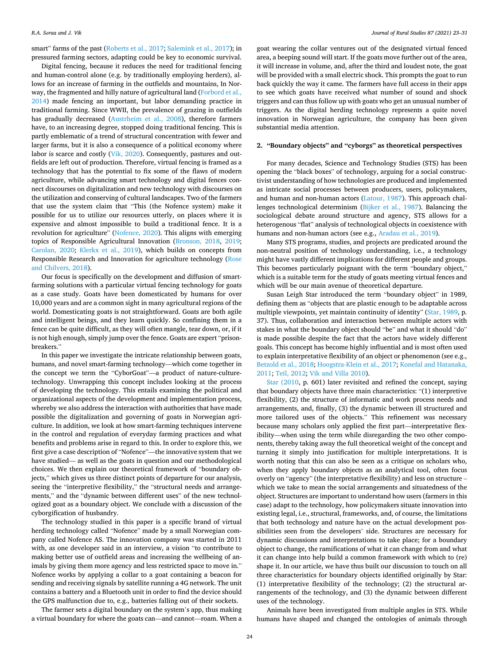smart" farms of the past ([Roberts et al., 2017; Salemink et al., 2017](#page-7-0)); in pressured farming sectors, adapting could be key to economic survival.

Digital fencing, because it reduces the need for traditional fencing and human-control alone (e.g. by traditionally employing herders), allows for an increase of farming in the outfields and mountains, In Norway, the fragmented and hilly nature of agricultural land (Forbord et al., [2014\)](#page-7-0) made fencing an important, but labor demanding practice in traditional farming. Since WWII, the prevalence of grazing in outfields has gradually decreased ([Austrheim et al., 2008\)](#page-7-0), therefore farmers have, to an increasing degree, stopped doing traditional fencing. This is partly emblematic of a trend of structural concentration with fewer and larger farms, but it is also a consequence of a political economy where labor is scarce and costly [\(Vik, 2020](#page-8-0)). Consequently, pastures and outfields are left out of production. Therefore, virtual fencing is framed as a technology that has the potential to fix some of the flaws of modern agriculture, while advancing smart technology and digital fences connect discourses on digitalization and new technology with discourses on the utilization and conserving of cultural landscapes. Two of the farmers that use the system claim that "This (the Nofence system) make it possible for us to utilize our resources utterly, on places where it is expensive and almost impossible to build a traditional fence. It is a revolution for agriculture" [\(Nofence, 2020\)](#page-7-0). This aligns with emerging topics of Responsible Agricultural Innovation ([Bronson, 2018](#page-7-0), [2019](#page-7-0); [Carolan, 2020](#page-7-0); [Klerkx et al., 2019](#page-7-0)), which builds on concepts from Responsible Research and Innovation for agriculture technology [\(Rose](#page-7-0)  [and Chilvers, 2018](#page-7-0)).

Our focus is specifically on the development and diffusion of smartfarming solutions with a particular virtual fencing technology for goats as a case study. Goats have been domesticated by humans for over 10,000 years and are a common sight in many agricultural regions of the world. Domesticating goats is not straightforward. Goats are both agile and intelligent beings, and they learn quickly. So confining them in a fence can be quite difficult, as they will often mangle, tear down, or, if it is not high enough, simply jump over the fence. Goats are expert "prisonbreakers."

In this paper we investigate the intricate relationship between goats, humans, and novel smart-farming technology—which come together in the concept we term the "CyborGoat"—a product of nature-culturetechnology. Unwrapping this concept includes looking at the process of developing the technology. This entails examining the political and organizational aspects of the development and implementation process, whereby we also address the interaction with authorities that have made possible the digitalization and governing of goats in Norwegian agriculture. In addition, we look at how smart-farming techniques intervene in the control and regulation of everyday farming practices and what benefits and problems arise in regard to this. In order to explore this, we first give a case description of "Nofence"—the innovative system that we have studied— as well as the goats in question and our methodological choices. We then explain our theoretical framework of "boundary objects," which gives us three distinct points of departure for our analysis, seeing the "interpretive flexibility," the "structural needs and arrangements," and the "dynamic between different uses" of the new technologized goat as a boundary object. We conclude with a discussion of the cyborgification of husbandry.

The technology studied in this paper is a specific brand of virtual herding technology called "Nofence" made by a small Norwegian company called Nofence AS. The innovation company was started in 2011 with, as one developer said in an interview, a vision "to contribute to making better use of outfield areas and increasing the wellbeing of animals by giving them more agency and less restricted space to move in." Nofence works by applying a collar to a goat containing a beacon for sending and receiving signals by satellite running a 4G network. The unit contains a battery and a Bluetooth unit in order to find the device should the GPS malfunction due to, e.g., batteries falling out of their sockets.

The farmer sets a digital boundary on the system's app, thus making a virtual boundary for where the goats can—and cannot—roam. When a

goat wearing the collar ventures out of the designated virtual fenced area, a beeping sound will start. If the goats move further out of the area, it will increase in volume, and, after the third and loudest note, the goat will be provided with a small electric shock. This prompts the goat to run back quickly the way it came. The farmers have full access in their apps to see which goats have received what number of sound and shock triggers and can thus follow up with goats who get an unusual number of triggers. As the digital herding technology represents a quite novel innovation in Norwegian agriculture, the company has been given substantial media attention.

### **2. "Boundary objects" and "cyborgs" as theoretical perspectives**

For many decades, Science and Technology Studies (STS) has been opening the "black boxes" of technology, arguing for a social constructivist understanding of how technologies are produced and implemented as intricate social processes between producers, users, policymakers, and human and non-human actors [\(Latour, 1987\)](#page-7-0). This approach challenges technological determinism [\(Bijker et al., 1987\)](#page-7-0). Balancing the sociological debate around structure and agency, STS allows for a heterogenous "flat" analysis of technological objects in coexistence with humans and non-human actors (see e.g., [Aradau et al., 2019](#page-7-0)).

Many STS programs, studies, and projects are predicated around the non-neutral position of technology understanding, i.e., a technology might have vastly different implications for different people and groups. This becomes particularly poignant with the term "boundary object," which is a suitable term for the study of goats meeting virtual fences and which will be our main avenue of theoretical departure.

Susan Leigh Star introduced the term "boundary object" in 1989, defining them as "objects that are plastic enough to be adaptable across multiple viewpoints, yet maintain continuity of identity" [\(Star, 1989,](#page-7-0) p. 37). Thus, collaboration and interaction between multiple actors with stakes in what the boundary object should "be" and what it should "do" is made possible despite the fact that the actors have widely different goals. This concept has become highly influential and is most often used to explain interpretative flexibility of an object or phenomenon (see e.g., [Betzold et al., 2018; Hoogstra-Klein et al., 2017](#page-7-0); [Konefal and Hatanaka,](#page-7-0)  [2011; Teil, 2012](#page-7-0); [Vik and Villa 2010\)](#page-8-0).

[Star \(2010,](#page-7-0) p. 601) later revisited and refined the concept, saying that boundary objects have three main characteristics: "(1) interpretive flexibility, (2) the structure of informatic and work process needs and arrangements, and, finally, (3) the dynamic between ill structured and more tailored uses of the objects." This refinement was necessary because many scholars only applied the first part—interpretative flexibility—when using the term while disregarding the two other components, thereby taking away the full theoretical weight of the concept and turning it simply into justification for multiple interpretations. It is worth noting that this can also be seen as a critique on scholars who, when they apply boundary objects as an analytical tool, often focus overly on "agency" (the interpretative flexibility) and less on structure – which we take to mean the social arrangements and situatedness of the object. Structures are important to understand how users (farmers in this case) adapt to the technology, how policymakers situate innovation into existing legal, i.e., structural, frameworks, and, of course, the limitations that both technology and nature have on the actual development possibilities seen from the developers' side. Structures are necessary for dynamic discussions and interpretations to take place; for a boundary object to change, the ramifications of what it can change from and what it can change into help build a common framework with which to (re) shape it. In our article, we have thus built our discussion to touch on all three characteristics for boundary objects identified originally by Star: (1) interpretative flexibility of the technology; (2) the structural arrangements of the technology, and (3) the dynamic between different uses of the technology.

Animals have been investigated from multiple angles in STS. While humans have shaped and changed the ontologies of animals through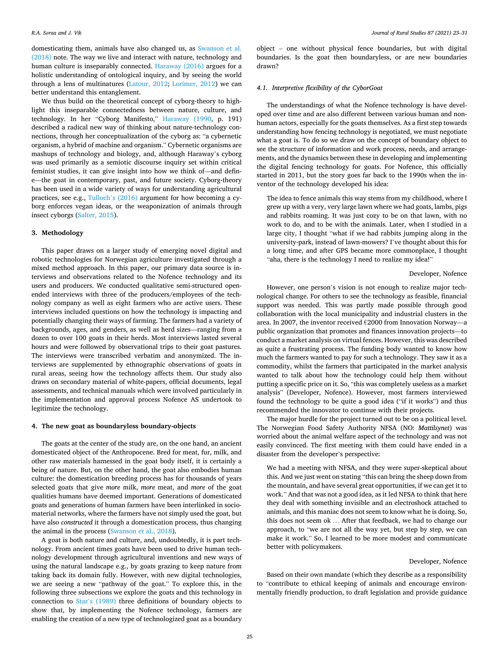domesticating them, animals have also changed us, as [Swanson et al.](#page-7-0)  [\(2018\)](#page-7-0) note. The way we live and interact with nature, technology and human culture is inseparably connected. [Haraway \(2016\)](#page-7-0) argues for a holistic understanding of ontological inquiry, and by seeing the world through a lens of multinatures [\(Latour, 2012](#page-7-0); [Lorimer, 2012\)](#page-7-0) we can better understand this entanglement.

We thus build on the theoretical concept of cyborg-theory to highlight this inseparable connectedness between nature, culture, and technology. In her "Cyborg Manifesto," [Haraway \(1990](#page-7-0), p. 191) described a radical new way of thinking about nature-technology connections, through her conceptualization of the cyborg as: "a cybernetic organism, a hybrid of machine and organism." Cybernetic organisms are mashups of technology and biology, and, although Haraway's cyborg was used primarily as a semiotic discourse inquiry set within critical feminist studies, it can give insight into how we think of—and define—the goat in contemporary, past, and future society. Cyborg-theory has been used in a wide variety of ways for understanding agricultural practices, see e.g., Tulloch'[s \(2016\)](#page-7-0) argument for how becoming a cyborg enforces vegan ideas, or the weaponization of animals through insect cyborgs ([Salter, 2015\)](#page-7-0).

#### **3. Methodology**

This paper draws on a larger study of emerging novel digital and robotic technologies for Norwegian agriculture investigated through a mixed method approach. In this paper, our primary data source is interviews and observations related to the Nofence technology and its users and producers. We conducted qualitative semi-structured openended interviews with three of the producers/employees of the technology company as well as eight farmers who are active users. These interviews included questions on how the technology is impacting and potentially changing their ways of farming. The farmers had a variety of backgrounds, ages, and genders, as well as herd sizes—ranging from a dozen to over 100 goats in their herds. Most interviews lasted several hours and were followed by observational trips to their goat pastures. The interviews were transcribed verbatim and anonymized. The interviews are supplemented by ethnographic observations of goats in rural areas, seeing how the technology affects them. Our study also draws on secondary material of white-papers, official documents, legal assessments, and technical manuals which were involved particularly in the implementation and approval process Nofence AS undertook to legitimize the technology.

#### **4. The new goat as boundaryless boundary-objects**

The goats at the center of the study are, on the one hand, an ancient domesticated object of the Anthropocene. Bred for meat, fur, milk, and other raw materials harnessed in the goat body itself, it is certainly a being of nature. But, on the other hand, the goat also embodies human culture: the domestication breeding process has for thousands of years selected goats that give *more* milk, *more* meat, and *more* of the goat qualities humans have deemed important. Generations of domesticated goats and generations of human farmers have been interlinked in sociomaterial networks, where the farmers have not simply used the goat, but have also *constructed* it through a domestication process, thus changing the animal in the process ([Swanson et al., 2018\)](#page-7-0).

A goat is both nature and culture, and, undoubtedly, it is part technology. From ancient times goats have been used to drive human technology development through agricultural inventions and new ways of using the natural landscape e.g., by goats grazing to keep nature from taking back its domain fully. However, with new digital technologies, we are seeing a new "pathway of the goat." To explore this, in the following three subsections we explore the goats and this technology in connection to Star'[s \(1989\)](#page-7-0) three definitions of boundary objects to show that, by implementing the Nofence technology, farmers are enabling the creation of a new type of technologized goat as a boundary

object – one without physical fence boundaries, but with digital boundaries. Is the goat then boundaryless, or are new boundaries drawn?

#### *4.1. Interpretive flexibility of the CyborGoat*

The understandings of what the Nofence technology is have developed over time and are also different between various human and nonhuman actors, especially for the goats themselves. As a first step towards understanding how fencing technology is negotiated, we must negotiate what a goat is. To do so we draw on the concept of boundary object to see the structure of information and work process, needs, and arrangements, and the dynamics between these in developing and implementing the digital fencing technology for goats. For Nofence, this officially started in 2011, but the story goes far back to the 1990s when the inventor of the technology developed his idea:

The idea to fence animals this way stems from my childhood, where I grew up with a very, very large lawn where we had goats, lambs, pigs and rabbits roaming. It was just cozy to be on that lawn, with no work to do, and to be with the animals. Later, when I studied in a large city, I thought "what if we had rabbits jumping along in the university-park, instead of lawn-mowers? I've thought about this for a long time, and after GPS became more commonplace, I thought "aha, there is the technology I need to realize my idea!"

#### Developer, Nofence

However, one person's vision is not enough to realize major technological change. For others to see the technology as feasible, financial support was needed. This was partly made possible through good collaboration with the local municipality and industrial clusters in the area. In 2007, the inventor received €2000 from Innovation Norway—a public organization that promotes and finances innovation projects—to conduct a market analysis on virtual fences. However, this was described as quite a frustrating process. The funding body wanted to know how much the farmers wanted to pay for such a technology. They saw it as a commodity, whilst the farmers that participated in the market analysis wanted to talk about how the technology could help them without putting a specific price on it. So, "this was completely useless as a market analysis" (Developer, Nofence). However, most farmers interviewed found the technology to be quite a good idea ("if it works") and thus recommended the innovator to continue with their projects.

The major hurdle for the project turned out to be on a political level. The Norwegian Food Safety Authority NFSA (NO: *Mattilsynet*) was worried about the animal welfare aspect of the technology and was not easily convinced. The first meeting with them could have ended in a disaster from the developer's perspective:

We had a meeting with NFSA, and they were super-skeptical about this. And we just went on stating "this can bring the sheep down from the mountain, and have several great opportunities, if we can get it to work." And that was not a good idea, as it led NFSA to think that here they deal with something invisible and an electroshock attached to animals, and this maniac does not seem to know what he is doing. So, this does not seem ok … After that feedback, we had to change our approach, to "we are not all the way yet, but step by step, we can make it work." So, I learned to be more modest and communicate better with policymakers.

#### Developer, Nofence

Based on their own mandate (which they describe as a responsibility to "contribute to ethical keeping of animals and encourage environmentally friendly production, to draft legislation and provide guidance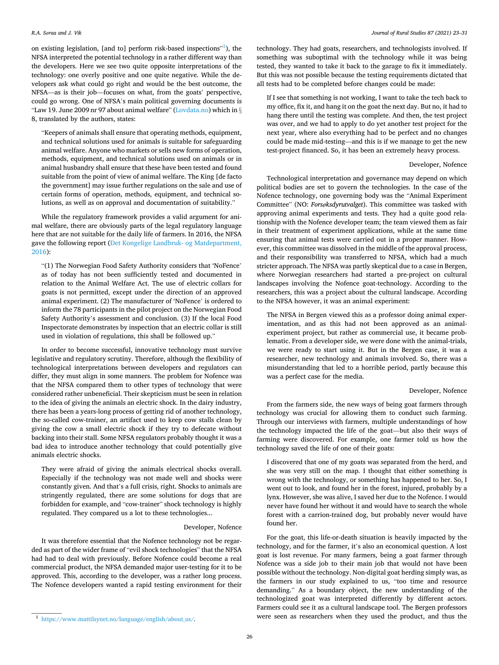on existing legislation, [and to] perform risk-based inspections"<sup>1</sup>), the NFSA interpreted the potential technology in a rather different way than the developers. Here we see two quite opposite interpretations of the technology: one overly positive and one quite negative. While the developers ask what could go right and would be the best outcome, the NFSA—as is their job—focuses on what, from the goats' perspective, could go wrong. One of NFSA's main political governing documents is "Law 19. June 2009 nr 97 about animal welfare" ([Lovdata.no\)](#page-7-0) which in  $\S$ 8, translated by the authors, states:

"Keepers of animals shall ensure that operating methods, equipment, and technical solutions used for animals is suitable for safeguarding animal welfare. Anyone who markets or sells new forms of operation, methods, equipment, and technical solutions used on animals or in animal husbandry shall ensure that these have been tested and found suitable from the point of view of animal welfare. The King [de facto the government] may issue further regulations on the sale and use of certain forms of operation, methods, equipment, and technical solutions, as well as on approval and documentation of suitability."

While the regulatory framework provides a valid argument for animal welfare, there are obviously parts of the legal regulatory language here that are not suitable for the daily life of farmers. In 2016, the NFSA gave the following report ([Det Kongelige Landbruk- og Matdepartment,](#page-7-0)  [2016\)](#page-7-0):

"(1) The Norwegian Food Safety Authority considers that 'NoFence' as of today has not been sufficiently tested and documented in relation to the Animal Welfare Act. The use of electric collars for goats is not permitted, except under the direction of an approved animal experiment. (2) The manufacturer of 'NoFence' is ordered to inform the 78 participants in the pilot project on the Norwegian Food Safety Authority's assessment and conclusion. (3) If the local Food Inspectorate demonstrates by inspection that an electric collar is still used in violation of regulations, this shall be followed up."

In order to become successful, innovative technology must survive legislative and regulatory scrutiny. Therefore, although the flexibility of technological interpretations between developers and regulators can differ, they must align in some manners. The problem for Nofence was that the NFSA compared them to other types of technology that were considered rather unbeneficial. Their skepticism must be seen in relation to the idea of giving the animals an electric shock. In the dairy industry, there has been a years-long process of getting rid of another technology, the so-called cow-trainer, an artifact used to keep cow stalls clean by giving the cow a small electric shock if they try to defecate without backing into their stall. Some NFSA regulators probably thought it was a bad idea to introduce another technology that could potentially give animals electric shocks.

They were afraid of giving the animals electrical shocks overall. Especially if the technology was not made well and shocks were constantly given. And that's a full crisis, right. Shocks to animals are stringently regulated, there are some solutions for dogs that are forbidden for example, and "cow-trainer" shock technology is highly regulated. They compared us a lot to these technologies...

#### Developer, Nofence

It was therefore essential that the Nofence technology not be regarded as part of the wider frame of "evil shock technologies" that the NFSA had had to deal with previously. Before Nofence could become a real commercial product, the NFSA demanded major user-testing for it to be approved. This, according to the developer, was a rather long process. The Nofence developers wanted a rapid testing environment for their technology. They had goats, researchers, and technologists involved. If something was suboptimal with the technology while it was being tested, they wanted to take it back to the garage to fix it immediately. But this was not possible because the testing requirements dictated that all tests had to be completed before changes could be made:

If I see that something is not working, I want to take the tech back to my office, fix it, and hang it on the goat the next day. But no, it had to hang there until the testing was complete. And then, the test project was over, and we had to apply to do yet another test project for the next year, where also everything had to be perfect and no changes could be made mid-testing—and this is if we manage to get the new test-project financed. So, it has been an extremely heavy process.

## Developer, Nofence

Technological interpretation and governance may depend on which political bodies are set to govern the technologies. In the case of the Nofence technology, one governing body was the "Animal Experiment Committee" (NO: *Forsøksdyrutvalget*). This committee was tasked with approving animal experiments and tests. They had a quite good relationship with the Nofence developer team; the team viewed them as fair in their treatment of experiment applications, while at the same time ensuring that animal tests were carried out in a proper manner. However, this committee was dissolved in the middle of the approval process, and their responsibility was transferred to NFSA, which had a much stricter approach. The NFSA was partly skeptical due to a case in Bergen, where Norwegian researchers had started a pre-project on cultural landscapes involving the Nofence goat-technology. According to the researchers, this was a project about the cultural landscape. According to the NFSA however, it was an animal experiment:

The NFSA in Bergen viewed this as a professor doing animal experimentation, and as this had not been approved as an animalexperiment project, but rather as commercial use, it became problematic. From a developer side, we were done with the animal-trials, we were ready to start using it. But in the Bergen case, it was a researcher, new technology and animals involved. So, there was a misunderstanding that led to a horrible period, partly because this was a perfect case for the media.

## Developer, Nofence

From the farmers side, the new ways of being goat farmers through technology was crucial for allowing them to conduct such farming. Through our interviews with farmers, multiple understandings of how the technology impacted the life of the goat—but also their ways of farming were discovered. For example, one farmer told us how the technology saved the life of one of their goats:

I discovered that one of my goats was separated from the herd, and she was very still on the map. I thought that either something is wrong with the technology, or something has happened to her. So, I went out to look, and found her in the forest, injured, probably by a lynx. However, she was alive, I saved her due to the Nofence. I would never have found her without it and would have to search the whole forest with a carrion-trained dog, but probably never would have found her.

For the goat, this life-or-death situation is heavily impacted by the technology, and for the farmer, it's also an economical question. A lost goat is lost revenue. For many farmers, being a goat farmer through Nofence was a side job to their main job that would not have been possible without the technology. Non-digital goat herding simply was, as the farmers in our study explained to us, "too time and resource demanding." As a boundary object, the new understanding of the technologized goat was interpreted differently by different actors. Farmers could see it as a cultural landscape tool. The Bergen professors  $\frac{1 \text{ https://www.mathlisynet.no/language/english/about us/}}{$  were seen as researchers when they used the product, and thus the

*Journal of Rural Studies 87 (2021) 23–31*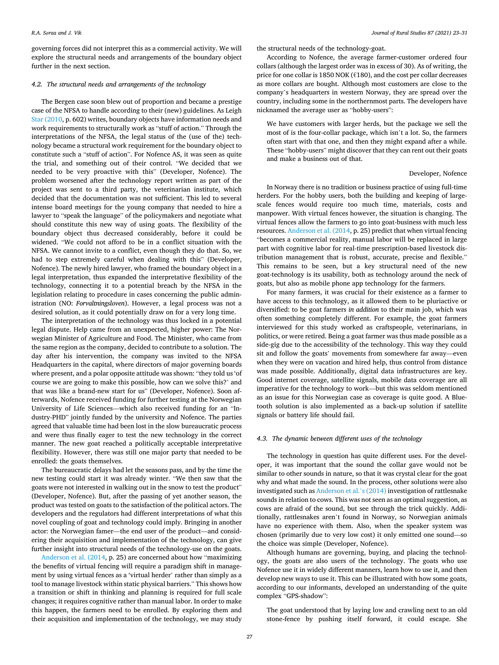governing forces did not interpret this as a commercial activity. We will explore the structural needs and arrangements of the boundary object further in the next section.

#### *4.2. The structural needs and arrangements of the technology*

The Bergen case soon blew out of proportion and became a prestige case of the NFSA to handle according to their (new) guidelines. As Leigh [Star \(2010](#page-7-0), p. 602) writes, boundary objects have information needs and work requirements to structurally work as "stuff of action." Through the interpretations of the NFSA, the legal status of the (use of the) technology became a structural work requirement for the boundary object to constitute such a "stuff of action". For Nofence AS, it was seen as quite the trial, and something out of their control. "We decided that we needed to be very proactive with this" (Developer, Nofence). The problem worsened after the technology report written as part of the project was sent to a third party, the veterinarian institute, which decided that the documentation was not sufficient. This led to several intense board meetings for the young company that needed to hire a lawyer to "speak the language" of the policymakers and negotiate what should constitute this new way of using goats. The flexibility of the boundary object thus decreased considerably, before it could be widened. "We could not afford to be in a conflict situation with the NFSA. We cannot invite to a conflict, even though they do that. So, we had to step extremely careful when dealing with this" (Developer, Nofence). The newly hired lawyer, who framed the boundary object in a legal interpretation, thus expanded the interpretative flexibility of the technology, connecting it to a potential breach by the NFSA in the legislation relating to procedure in cases concerning the public administration (NO: *Forvaltningsloven*). However, a legal process was not a desired solution, as it could potentially draw on for a very long time.

The interpretation of the technology was thus locked in a potential legal dispute. Help came from an unexpected, higher power: The Norwegian Minister of Agriculture and Food. The Minister, who came from the same region as the company, decided to contribute to a solution. The day after his intervention, the company was invited to the NFSA Headquarters in the capital, where directors of major governing boards where present, and a polar opposite attitude was shown: "they told us 'of course we are going to make this possible, how can we solve this?' and that was like a brand-new start for us" (Developer, Nofence). Soon afterwards, Nofence received funding for further testing at the Norwegian University of Life Sciences—which also received funding for an "Industry-PHD" jointly funded by the university and Nofence. The parties agreed that valuable time had been lost in the slow bureaucratic process and were thus finally eager to test the new technology in the correct manner. The new goat reached a politically acceptable interpretative flexibility. However, there was still one major party that needed to be enrolled: the goats themselves.

The bureaucratic delays had let the seasons pass, and by the time the new testing could start it was already winter. "We then saw that the goats were not interested in walking out in the snow to test the product" (Developer, Nofence). But, after the passing of yet another season, the product was tested on goats to the satisfaction of the political actors. The developers and the regulators had different interpretations of what this novel coupling of goat and technology could imply. Bringing in another actor: the Norwegian famer—the end user of the product—and considering their acquisition and implementation of the technology, can give further insight into structural needs of the technology-use on the goats.

[Anderson et al. \(2014,](#page-7-0) p. 25) are concerned about how "maximizing the benefits of virtual fencing will require a paradigm shift in management by using virtual fences as a 'virtual herder' rather than simply as a tool to manage livestock within static physical barriers." This shows how a transition or shift in thinking and planning is required for full scale changes; it requires cognitive rather than manual labor. In order to make this happen, the farmers need to be enrolled. By exploring them and their acquisition and implementation of the technology, we may study

the structural needs of the technology-goat.

According to Nofence, the average farmer-customer ordered four collars (although the largest order was in excess of 30). As of writing, the price for one collar is 1850 NOK (€180), and the cost per collar decreases as more collars are bought. Although most customers are close to the company's headquarters in western Norway, they are spread over the country, including some in the northernmost parts. The developers have nicknamed the average user as "hobby-users":

We have customers with larger herds, but the package we sell the most of is the four-collar package, which isn't a lot. So, the farmers often start with that one, and then they might expand after a while. These "hobby-users" might discover that they can rent out their goats and make a business out of that.

## Developer, Nofence

In Norway there is no tradition or business practice of using full-time herders. For the hobby users, both the building and keeping of largescale fences would require too much time, materials, costs and manpower. With virtual fences however, the situation is changing. The virtual fences allow the farmers to go into goat-business with much less resources. [Anderson et al. \(2014,](#page-7-0) p. 25) predict that when virtual fencing "becomes a commercial reality, manual labor will be replaced in large part with cognitive labor for real-time prescription-based livestock distribution management that is robust, accurate, precise and flexible." This remains to be seen, but a key structural need of the new goat-technology is its usability, both as technology around the neck of goats, but also as mobile phone app technology for the farmers.

For many farmers, it was crucial for their existence as a farmer to have access to this technology, as it allowed them to be pluriactive or diversified: to be goat farmers *in addition* to their main job, which was often something completely different. For example, the goat farmers interviewed for this study worked as craftspeople, veterinarians, in politics, or were retired. Being a goat farmer was thus made possible as a side-gig due to the accessibility of the technology. This way they could sit and follow the goats' movements from somewhere far away—even when they were on vacation and hired help, thus control from distance was made possible. Additionally, digital data infrastructures are key. Good internet coverage, satellite signals, mobile data coverage are all imperative for the technology to work—but this was seldom mentioned as an issue for this Norwegian case as coverage is quite good. A Bluetooth solution is also implemented as a back-up solution if satellite signals or battery life should fail.

### *4.3. The dynamic between different uses of the technology*

The technology in question has quite different uses. For the developer, it was important that the sound the collar gave would not be similar to other sounds in nature, so that it was crystal clear for the goat why and what made the sound. In the process, other solutions were also investigated such as [Anderson et al.](#page-7-0)'s (2014) investigation of rattlesnake sounds in relation to cows. This was not seen as an optimal suggestion, as cows are afraid of the sound, but see through the trick quickly. Additionally, rattlesnakes aren't found in Norway, so Norwegian animals have no experience with them. Also, when the speaker system was chosen (primarily due to very low cost) it only emitted one sound—so the choice was simple (Developer, Nofence).

Although humans are governing, buying, and placing the technology, the goats are also users of the technology. The goats who use Nofence use it in widely different manners, learn how to use it, and then develop new ways to use it. This can be illustrated with how some goats, according to our informants, developed an understanding of the quite complex "GPS-shadow":

The goat understood that by laying low and crawling next to an old stone-fence by pushing itself forward, it could escape. She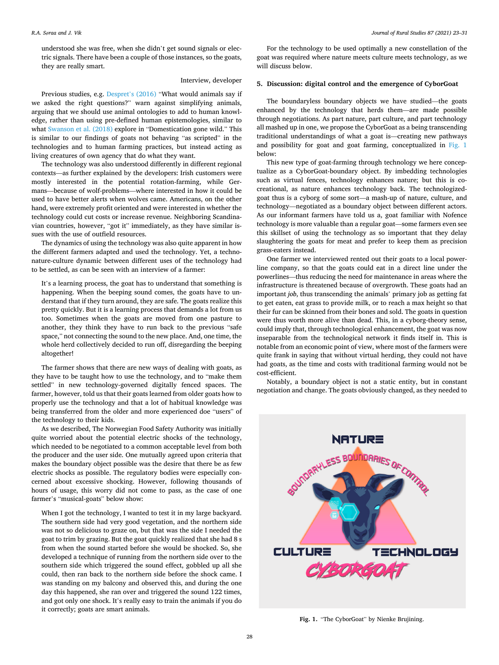*Journal of Rural Studies 87 (2021) 23–31*

understood she was free, when she didn't get sound signals or electric signals. There have been a couple of those instances, so the goats, they are really smart.

## Interview, developer

Previous studies, e.g. Despret'[s \(2016\)](#page-7-0) "What would animals say if we asked the right questions?" warn against simplifying animals, arguing that we should use animal ontologies to add to human knowledge, rather than using pre-defined human epistemologies, similar to what [Swanson et al. \(2018\)](#page-7-0) explore in "Domestication gone wild." This is similar to our findings of goats not behaving "as scripted" in the technologies and to human farming practices, but instead acting as living creatures of own agency that do what they want.

The technology was also understood differently in different regional contexts—as further explained by the developers: Irish customers were mostly interested in the potential rotation-farming, while Germans—because of wolf-problems—where interested in how it could be used to have better alerts when wolves came. Americans, on the other hand, were extremely profit oriented and were interested in whether the technology could cut costs or increase revenue. Neighboring Scandinavian countries, however, "got it" immediately, as they have similar issues with the use of outfield resources.

The dynamics of using the technology was also quite apparent in how the different farmers adapted and used the technology. Yet, a technonature-culture dynamic between different uses of the technology had to be settled, as can be seen with an interview of a farmer:

It's a learning process, the goat has to understand that something is happening. When the beeping sound comes, the goats have to understand that if they turn around, they are safe. The goats realize this pretty quickly. But it is a learning process that demands a lot from us too. Sometimes when the goats are moved from one pasture to another, they think they have to run back to the previous "safe space," not connecting the sound to the new place. And, one time, the whole herd collectively decided to run off, disregarding the beeping altogether!

The farmer shows that there are new ways of dealing with goats, as they have to be taught how to use the technology, and to "make them settled" in new technology-governed digitally fenced spaces. The farmer, however, told us that their goats learned from older goats how to properly use the technology and that a lot of habitual knowledge was being transferred from the older and more experienced doe "users" of the technology to their kids.

As we described, The Norwegian Food Safety Authority was initially quite worried about the potential electric shocks of the technology, which needed to be negotiated to a common acceptable level from both the producer and the user side. One mutually agreed upon criteria that makes the boundary object possible was the desire that there be as few electric shocks as possible. The regulatory bodies were especially concerned about excessive shocking. However, following thousands of hours of usage, this worry did not come to pass, as the case of one farmer's "musical-goats" below show:

When I got the technology, I wanted to test it in my large backyard. The southern side had very good vegetation, and the northern side was not so delicious to graze on, but that was the side I needed the goat to trim by grazing. But the goat quickly realized that she had 8 s from when the sound started before she would be shocked. So, she developed a technique of running from the northern side over to the southern side which triggered the sound effect, gobbled up all she could, then ran back to the northern side before the shock came. I was standing on my balcony and observed this, and during the one day this happened, she ran over and triggered the sound 122 times, and got only one shock. It's really easy to train the animals if you do it correctly; goats are smart animals.

For the technology to be used optimally a new constellation of the goat was required where nature meets culture meets technology, as we will discuss below.

## **5. Discussion: digital control and the emergence of CyborGoat**

The boundaryless boundary objects we have studied—the goats enhanced by the technology that herds them—are made possible through negotiations. As part nature, part culture, and part technology all mashed up in one, we propose the CyborGoat as a being transcending traditional understandings of what a goat is—creating new pathways and possibility for goat and goat farming, conceptualized in Fig. 1 below:

This new type of goat-farming through technology we here conceptualize as a CyborGoat-boundary object. By imbedding technologies such as virtual fences, technology enhances nature; but this is cocreational, as nature enhances technology back. The technologizedgoat thus is a cyborg of some sort—a mash-up of nature, culture, and technology—negotiated as a boundary object between different actors. As our informant farmers have told us a, goat familiar with Nofence technology is more valuable than a regular goat—some farmers even see this skillset of using the technology as so important that they delay slaughtering the goats for meat and prefer to keep them as precision grass-eaters instead.

One farmer we interviewed rented out their goats to a local powerline company, so that the goats could eat in a direct line under the powerlines—thus reducing the need for maintenance in areas where the infrastructure is threatened because of overgrowth. These goats had an important *job*, thus transcending the animals' primary job as getting fat to get eaten, eat grass to provide milk, or to reach a max height so that their fur can be skinned from their bones and sold. The goats in question were thus worth more alive than dead. This, in a cyborg-theory sense, could imply that, through technological enhancement, the goat was now inseparable from the technological network it finds itself in. This is notable from an economic point of view, where most of the farmers were quite frank in saying that without virtual herding, they could not have had goats, as the time and costs with traditional farming would not be cost-efficient.

Notably, a boundary object is not a static entity, but in constant negotiation and change. The goats obviously changed, as they needed to



**Fig. 1.** "The CyborGoat" by Nienke Brujining.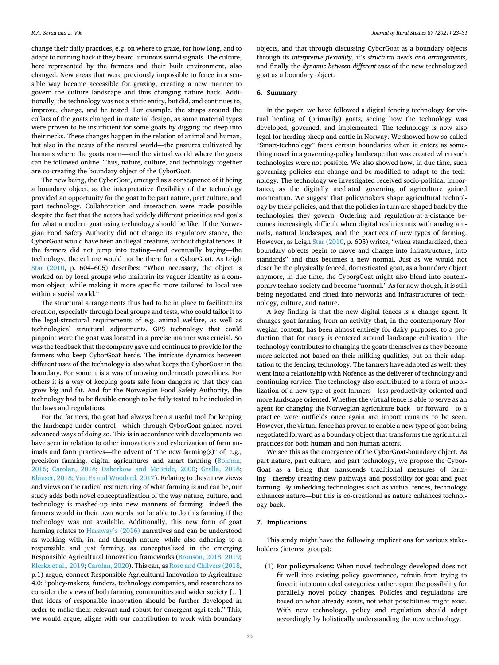change their daily practices, e.g. on where to graze, for how long, and to adapt to running back if they heard luminous sound signals. The culture, here represented by the farmers and their built environment, also changed. New areas that were previously impossible to fence in a sensible way became accessible for grazing, creating a new manner to govern the culture landscape and thus changing nature back. Additionally, the technology was not a static entity, but did, and continues to, improve, change, and be tested. For example, the straps around the collars of the goats changed in material design, as some material types were proven to be insufficient for some goats by digging too deep into their necks. These changes happen in the relation of animal and human, but also in the nexus of the natural world—the pastures cultivated by humans where the goats roam—and the virtual world where the goats can be followed online. Thus, nature, culture, and technology together are co-creating the boundary object of the CyborGoat.

The new being, the CyborGoat, emerged as a consequence of it being a boundary object, as the interpretative flexibility of the technology provided an opportunity for the goat to be part nature, part culture, and part technology. Collaboration and interaction were made possible despite the fact that the actors had widely different priorities and goals for what a modern goat using technology should be like. If the Norwegian Food Safety Authority did not change its regulatory stance, the CyborGoat would have been an illegal creature, without digital fences. If the farmers did not jump into testing—and eventually buying—the technology, the culture would not be there for a CyborGoat. As Leigh [Star \(2010](#page-7-0), p. 604–605) describes: "When necessary, the object is worked on by local groups who maintain its vaguer identity as a common object, while making it more specific more tailored to local use within a social world."

The structural arrangements thus had to be in place to facilitate its creation, especially through local groups and tests, who could tailor it to the legal-structural requirements of e.g. animal welfare, as well as technological structural adjustments. GPS technology that could pinpoint were the goat was located in a precise manner was crucial. So was the feedback that the company gave and continues to provide for the farmers who keep CyborGoat herds. The intricate dynamics between different uses of the technology is also what keeps the CyborGoat in the boundary. For some it is a way of mowing underneath powerlines. For others it is a way of keeping goats safe from dangers so that they can grow big and fat. And for the Norwegian Food Safety Authority, the technology had to be flexible enough to be fully tested to be included in the laws and regulations.

For the farmers, the goat had always been a useful tool for keeping the landscape under control—which through CyborGoat gained novel advanced ways of doing so. This is in accordance with developments we have seen in relation to other innovations and cyberization of farm animals and farm practices—the advent of "the new farming(s)" of, e.g., precision farming, digital agricultures and smart farming ([Bolman,](#page-7-0)  [2016;](#page-7-0) [Carolan, 2018](#page-7-0); [Daberkow and McBride, 2000](#page-7-0); [Gralla, 2018](#page-7-0); [Klauser, 2018; Van Es and Woodard, 2017\)](#page-7-0). Relating to these new views and views on the radical restructuring of what farming is and can be, our study adds both novel conceptualization of the way nature, culture, and technology is mashed-up into new manners of farming—indeed the farmers would in their own words not be able to do this farming if the technology was not available. Additionally, this new form of goat farming relates to [Haraway](#page-7-0)'s (2016) narratives and can be understood as working with, in, and through nature, while also adhering to a responsible and just farming, as conceptualized in the emerging Responsible Agricultural Innovation frameworks [\(Bronson, 2018](#page-7-0), [2019](#page-7-0); [Klerkx et al., 2019; Carolan, 2020\)](#page-7-0). This can, as [Rose and Chilvers \(2018](#page-7-0), p.1) argue, connect Responsible Agricultural Innovation to Agriculture 4.0: "policy-makers, funders, technology companies, and researchers to consider the views of both farming communities and wider society […] that ideas of responsible innovation should be further developed in order to make them relevant and robust for emergent agri-tech." This, we would argue, aligns with our contribution to work with boundary

objects, and that through discussing CyborGoat as a boundary objects through its *interpretive flexibility*, it's *structural needs and arrangements*, and finally the *dynamic between different uses* of the new technologized goat as a boundary object.

## **6. Summary**

In the paper, we have followed a digital fencing technology for virtual herding of (primarily) goats, seeing how the technology was developed, governed, and implemented. The technology is now also legal for herding sheep and cattle in Norway. We showed how so-called "Smart-technology" faces certain boundaries when it enters as something novel in a governing-policy landscape that was created when such technologies were not possible. We also showed how, in due time, such governing policies can change and be modified to adapt to the technology. The technology we investigated received socio-political importance, as the digitally mediated governing of agriculture gained momentum. We suggest that policymakers shape agricultural technology by their policies, and that the policies in turn are shaped back by the technologies they govern. Ordering and regulation-at-a-distance becomes increasingly difficult when digital realities mix with analog animals, natural landscapes, and the practices of new types of farming. However, as Leigh [Star \(2010](#page-7-0), p. 605) writes, "when standardized, then boundary objects begin to move and change into infrastructure, into standards" and thus becomes a new normal. Just as we would not describe the physically fenced, domesticated goat, as a boundary object anymore, in due time, the CyborgGoat might also blend into contemporary techno-society and become "normal." As for now though, it is still being negotiated and fitted into networks and infrastructures of technology, culture, and nature.

A key finding is that the new digital fences is a change agent. It changes goat farming from an activity that, in the contemporary Norwegian context, has been almost entirely for dairy purposes, to a production that for many is centered around landscape cultivation. The technology contributes to changing the goats themselves as they become more selected not based on their milking qualities, but on their adaptation to the fencing technology. The farmers have adapted as well: they went into a relationship with Nofence as the deliverer of technology and continuing service. The technology also contributed to a form of mobilization of a new type of goat farmers—less productivity oriented and more landscape oriented. Whether the virtual fence is able to serve as an agent for changing the Norwegian agriculture back—or forward—to a practice were outfields once again are import remains to be seen. However, the virtual fence has proven to enable a new type of goat being negotiated forward as a boundary object that transforms the agricultural practices for both human and non-human actors.

We see this as the emergence of the CyborGoat-boundary object. As part nature, part culture, and part technology, we propose the Cybor-Goat as a being that transcends traditional measures of farming—thereby creating new pathways and possibility for goat and goat farming. By imbedding technologies such as virtual fences, technology enhances nature—but this is co-creational as nature enhances technology back.

### **7. Implications**

This study might have the following implications for various stakeholders (interest groups):

(1) **For policymakers:** When novel technology developed does not fit well into existing policy governance, refrain from trying to force it into outmoded categories; rather, open the possibility for parallelly novel policy changes. Policies and regulations are based on what already exists, not what possibilities might exist. With new technology, policy and regulation should adapt accordingly by holistically understanding the new technology.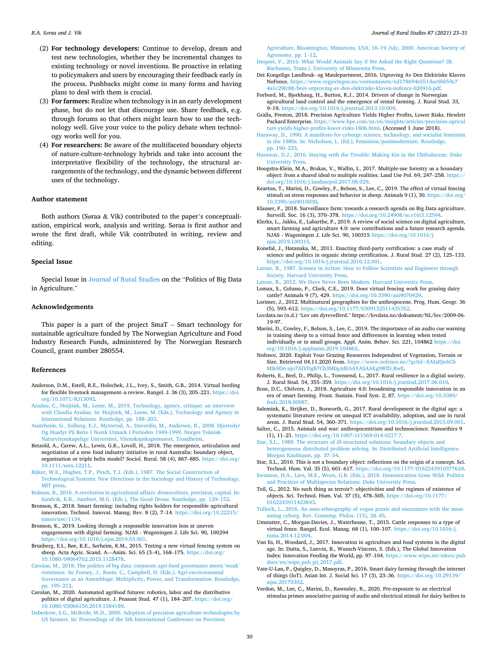- <span id="page-7-0"></span>(2) **For technology developers:** Continue to develop, dream and test new technologies, whether they be incremental changes to existing technology or novel inventions. Be proactive in relating to policymakers and users by encouraging their feedback early in the process. Pushbacks might come in many forms and having plans to deal with them is crucial.
- (3) **For farmers:** Realize when technology is in an early development phase, but do not let that discourage use. Share feedback, e.g. through forums so that others might learn how to use the technology well. Give your voice to the policy debate when technology works well for you.
- (4) **For researchers:** Be aware of the multifaceted boundary objects of nature-culture-technology hybrids and take into account the interpretative flexibility of the technology, the structural arrangements of the technology, and the dynamic between different uses of the technology.

## **Author statement**

Both authors (Søraa & Vik) contributed to the paper's conceptualization, empirical work, analysis and writing. Søraa is first author and wrote the first draft, while Vik contributed in writing, review and editing.

#### **Special Issue**

Special Issue in [Journal of Rural Studies](https://www.elsevier.com/wps/find/journaldescription.cws_home/348?generatepdf=true) on the "Politics of Big Data in Agriculture.'

#### **Acknowledgements**

This paper is a part of the project SmaT – Smart technology for sustainable agriculture funded by The Norwegian Agriculture and Food Industry Research Funds, administered by The Norwegian Research Council, grant number 280554.

#### **References**

- Anderson, D.M., Estell, R.E., Holechek, J.L., Ivey, S., Smith, G.B., 2014. Virtual herding for flexible livestock management–a review. Rangel. J. 36 (3), 205–221. [https://doi.](https://doi.org/10.1071/RJ13092)  [org/10.1071/RJ13092.](https://doi.org/10.1071/RJ13092)
- [Aradau, C., Hoijtink, M., Leese, M., 2019. Technology, agency, critique: an interview](http://refhub.elsevier.com/S0743-0167(21)00239-4/sref2) [with Claudia Aradau. In: Hoijtink, M., Leese, M. \(Eds.\), Technology and Agency in](http://refhub.elsevier.com/S0743-0167(21)00239-4/sref2) [International Relations. Routledge, pp. 188](http://refhub.elsevier.com/S0743-0167(21)00239-4/sref2)–203.
- [Austrheim, G., Solberg, E.J., Mysterud, A., Daverdin, M., Andersen, R., 2008. Hjortedyr](http://refhub.elsevier.com/S0743-0167(21)00239-4/sref3)  [Og Husdyr På Beite I Norsk Utmark I Perioden 1949-1999. Norges Teknisk-](http://refhub.elsevier.com/S0743-0167(21)00239-4/sref3)[Naturvitenskapelige Universitet, Vitenskapskapsmuseet, Trondheim](http://refhub.elsevier.com/S0743-0167(21)00239-4/sref3).
- Betzold, A., Carew, A.L., Lewis, G.K., Lovell, H., 2018. The emergence, articulation and negotiation of a new food industry initiative in rural Australia: boundary object, organisation or triple helix model? Sociol. Rural. 58 (4), 867–885. [https://doi.org/](https://doi.org/10.1111/soru.12211)  [10.1111/soru.12211.](https://doi.org/10.1111/soru.12211)
- [Bijker, W.E., Hughes, T.P., Pinch, T.J. \(Eds.\), 1987. The Social Construction of](http://refhub.elsevier.com/S0743-0167(21)00239-4/sref5)  [Technological Systems: New Directions in the Sociology and History of Technology.](http://refhub.elsevier.com/S0743-0167(21)00239-4/sref5)  [MIT press](http://refhub.elsevier.com/S0743-0167(21)00239-4/sref5).
- [Bolman, B., 2016. A revolution in agricultural affairs: dronoculture, precision, capital. In:](http://refhub.elsevier.com/S0743-0167(21)00239-4/sref6)  [Sandvik, K.B., Jumbert, M.G. \(Eds.\), The Good Drone. Routledge, pp. 129](http://refhub.elsevier.com/S0743-0167(21)00239-4/sref6)–152.
- Bronson, K., 2018. Smart farming: including rights holders for responsible agricultural innovation. Technol. Innovat. Manag. Rev. 8 (2), 7–14. [https://doi.org/10.22215/](https://doi.org/10.22215/timreview/1134)  [timreview/1134.](https://doi.org/10.22215/timreview/1134)
- Bronson, K., 2019. Looking through a responsible innovation lens at uneven engagements with digital farming. NJAS - Wageningen J. Life Sci. 90, 100294 [https://doi.org/10.1016/j.njas.2019.03.001.](https://doi.org/10.1016/j.njas.2019.03.001)
- Brunberg, E.I., Bøe, K.E., Sørheim, K.M., 2015. Testing a new virtual fencing system on sheep. Acta Agric. Scand. A—Anim. Sci. 65 (3–4), 168–175. [https://doi.org/](https://doi.org/10.1080/09064702.2015.1128478) [10.1080/09064702.2015.1128478.](https://doi.org/10.1080/09064702.2015.1128478)
- [Carolan, M., 2018. The politics of big data: corporate agri-food governance meets 'weak](http://refhub.elsevier.com/S0743-0167(21)00239-4/sref10)' [resistance. In: Forney, J., Rosin, C., Campbell, H. \(Eds.\), Agri-environmental](http://refhub.elsevier.com/S0743-0167(21)00239-4/sref10) [Governance as an Assemblage: Multiplicity, Power, and Transformation. Routledge,](http://refhub.elsevier.com/S0743-0167(21)00239-4/sref10)  [pp. 195](http://refhub.elsevier.com/S0743-0167(21)00239-4/sref10)–212.
- Carolan, M., 2020. Automated agrifood futures: robotics, labor and the distributive politics of digital agriculture. J. Peasant Stud. 47 (1), 184–207. [https://doi.org/](https://doi.org/10.1080/03066150.2019.1584189)  [10.1080/03066150.2019.1584189.](https://doi.org/10.1080/03066150.2019.1584189)
- [Daberkow, S.G., McBride, W.D., 2000. Adoption of precision agriculture technologies by](http://refhub.elsevier.com/S0743-0167(21)00239-4/sref12)  [US farmers. In: Proceedings of the 5th International Conference on Precision](http://refhub.elsevier.com/S0743-0167(21)00239-4/sref12)

[Agriculture, Bloomington, Minnesota, USA, 16](http://refhub.elsevier.com/S0743-0167(21)00239-4/sref12)–19 July, 2000. American Society of [Agronomy, pp. 1](http://refhub.elsevier.com/S0743-0167(21)00239-4/sref12)–12.

- [Despret, V., 2016. What Would Animals Say if We Asked the Right Questions? \(B.](http://refhub.elsevier.com/S0743-0167(21)00239-4/sref13)  Buchanan, Trans.). University of Minnesota Pre
- Det Kongelige Landbruk- og Matdepartment, 2016. Utprøving Av Den Elektriske Klaven NoFence. [https://www.regjeringen.no/contentassets/ed178694e5514ac0bb59c7](https://www.regjeringen.no/contentassets/ed178694e5514ac0bb59c74a1c29fc88/brev-utproving-av-den-elektriske-klaven-nofence-020916.pdf)  [4a1c29fc88/brev-utproving-av-den-elektriske-klaven-nofence-020916.pdf](https://www.regjeringen.no/contentassets/ed178694e5514ac0bb59c74a1c29fc88/brev-utproving-av-den-elektriske-klaven-nofence-020916.pdf).
- Forbord, M., Bjørkhaug, H., Burton, R.J., 2014. Drivers of change in Norwegian agricultural land control and the emergence of rental farming. J. Rural Stud. 33, 9–19. [https://doi.org/10.1016/j.jrurstud.2013.10.009.](https://doi.org/10.1016/j.jrurstud.2013.10.009)
- Gralla, Preston, 2018. Precision Agriculture Yields Higher Profits, Lower Risks. Hewlett Packard Enterprise. [https://www.hpe.com/us/en/insights/articles/precision-agricul](https://www.hpe.com/us/en/insights/articles/precision-agriculture-yields-higher-profits-lower-risks-1806.html)  [ture-yields-higher-profits-lower-risks-1806.html](https://www.hpe.com/us/en/insights/articles/precision-agriculture-yields-higher-profits-lower-risks-1806.html). (Accessed 1 June 2018).
- [Haraway, D., 1990. A manifesto for cyborgs: science, technology, and socialist feminism](http://refhub.elsevier.com/S0743-0167(21)00239-4/sref17)  [in the 1980s. In: Nicholson, L. \(Ed.\), Feminism/postmodernism. Routledge,](http://refhub.elsevier.com/S0743-0167(21)00239-4/sref17)  [pp. 190](http://refhub.elsevier.com/S0743-0167(21)00239-4/sref17)–233.
- [Haraway, D.J., 2016. Staying with the Trouble: Making Kin in the Chthulucene. Duke](http://refhub.elsevier.com/S0743-0167(21)00239-4/sref18)  [University Press](http://refhub.elsevier.com/S0743-0167(21)00239-4/sref18).
- Hoogstra-Klein, M.A., Brukas, V., Wallin, I., 2017. Multiple-use forestry as a boundary object: from a shared ideal to multiple realities. Land Use Pol. 69, 247–258. [https://](https://doi.org/10.1016/j.landusepol.2017.08.029)  [doi.org/10.1016/j.landusepol.2017.08.029](https://doi.org/10.1016/j.landusepol.2017.08.029).
- Kearton, T., Marini, D., Cowley, F., Belson, S., Lee, C., 2019. The effect of virtual fencing stimuli on stress responses and behavior in sheep. Animals 9 (1), 30. [https://doi.org/](https://doi.org/10.3390/ani9010030)  [10.3390/ani9010030.](https://doi.org/10.3390/ani9010030)
- Klauser, F., 2018. Surveillance farm: towards a research agenda on Big Data agriculture. Surveill. Soc. 16 (3), 370-378. https://doi.org/10.24908/ss.v16i3.1259.
- Klerkx, L., Jakku, E., Labarthe, P., 2019. A review of social science on digital agriculture, smart farming and agriculture 4.0: new contributions and a future research agenda. NJAS - Wageningen J. Life Sci. 90, 100315 [https://doi.org/10.1016/j.](https://doi.org/10.1016/j.njas.2019.100315) [njas.2019.100315](https://doi.org/10.1016/j.njas.2019.100315).
- Konefal, J., Hatanaka, M., 2011. Enacting third-party certification: a case study of science and politics in organic shrimp certification. J. Rural Stud. 27 (2), 125–133. <https://doi.org/10.1016/j.jrurstud.2010.12.001>.
- [Latour, B., 1987. Science in Action: How to Follow Scientists and Engineers through](http://refhub.elsevier.com/S0743-0167(21)00239-4/sref24) [Society. Harvard University Press.](http://refhub.elsevier.com/S0743-0167(21)00239-4/sref24)
- [Latour, B., 2012. We Have Never Been Modern. Harvard University Press.](http://refhub.elsevier.com/S0743-0167(21)00239-4/sref25)
- Lomax, S., Colusso, P., Clark, C.E., 2019. Does virtual fencing work for grazing dairy cattle? Animals 9 (7), 429. [https://doi.org/10.3390/ani9070429.](https://doi.org/10.3390/ani9070429) Lorimer, J., 2012. Multinatural geographies for the anthropocene. Prog. Hum. Geogr. 36
- (5), 593–612. [https://doi.org/10.1177/0309132511435352.](https://doi.org/10.1177/0309132511435352)
- Lovdata.no (n.d.) "Lov om dyrevelferd." https://lovdata.no/dokument/NL/lov/2009-06- 19-97.
- Marini, D., Cowley, F., Belson, S., Lee, C., 2019. The importance of an audio cue warning in training sheep to a virtual fence and differences in learning when tested individually or in small groups. Appl. Anim. Behav. Sci. 221, 104862 [https://doi.](https://doi.org/10.1016/j.applanim.2019.104862) [org/10.1016/j.applanim.2019.104862](https://doi.org/10.1016/j.applanim.2019.104862).
- Nofence, 2020. Exploit Your Grazing Resources Independent of Vegetation, Terrain or Size. Retrieved 04.11.2020 from. [https://www.nofence.no/?gclid](https://www.nofence.no/?gclid=EAIaIQobChMIk9Dn-ujo7AIVDgB7Ch3M0gJdEAAYASAAEgI9FfD_BwE)=EAIaIQobCh [MIk9Dn-ujo7AIVDgB7Ch3M0gJdEAAYASAAEgI9FfD\\_BwE](https://www.nofence.no/?gclid=EAIaIQobChMIk9Dn-ujo7AIVDgB7Ch3M0gJdEAAYASAAEgI9FfD_BwE).
- Roberts, E., Beel, D., Philip, L., Townsend, L., 2017. Rural resilience in a digital society. J. Rural Stud. 54, 355–359. [https://doi.org/10.1016/j.jrurstud.2017.06.010.](https://doi.org/10.1016/j.jrurstud.2017.06.010)
- Rose, D.C., Chilvers, J., 2018. Agriculture 4.0: broadening responsible innovation in an era of smart farming. Front. Sustain. Food Syst. 2, 87. [https://doi.org/10.3389/](https://doi.org/10.3389/fsufs.2018.00087)  [fsufs.2018.00087](https://doi.org/10.3389/fsufs.2018.00087).

Salemink, K., Strijker, D., Bosworth, G., 2017. Rural development in the digital age: a systematic literature review on unequal ICT availability, adoption, and use in rural areas. J. Rural Stud. 54, 360–371. <https://doi.org/10.1016/j.jrurstud.2015.09.001>.

Salter, C., 2015. Animals and war: anthropocentrism and technoscience. Nanoethics 9 (1), 11–21.<https://doi.org/10.1007/s11569-014-0217-7>.

- [Star, S.L., 1989. The structure of ill-structured solutions: boundary objects and](http://refhub.elsevier.com/S0743-0167(21)00239-4/sref35) [heterogeneous distributed problem solving. In: Distributed Artificial Intelligence.](http://refhub.elsevier.com/S0743-0167(21)00239-4/sref35) [Morgan Kaufmann, pp. 37](http://refhub.elsevier.com/S0743-0167(21)00239-4/sref35)–54.
- Star, S.L., 2010. This is not a boundary object: reflections on the origin of a concept. Sci. Technol. Hum. Val. 35 (5), 601-617. https://doi.org/10.1177/016224391037

[Swanson, H.A., Lien, M.E., Ween, G.B. \(Eds.\), 2018. Domestication Gone Wild: Politics](http://refhub.elsevier.com/S0743-0167(21)00239-4/sref38) [and Practices of Multispecies Relations. Duke University Press.](http://refhub.elsevier.com/S0743-0167(21)00239-4/sref38)

- Teil, G., 2012. No such thing as terroir?: objectivities and the regimes of existence of objects. Sci. Technol. Hum. Val. 37 (5), 478–505. [https://doi.org/10.1177/](https://doi.org/10.1177/0162243911423843)  [0162243911423843.](https://doi.org/10.1177/0162243911423843)
- [Tulloch, L., 2016. An auto-ethnography of vegan praxis and encounters with the meat](http://refhub.elsevier.com/S0743-0167(21)00239-4/sref40)[eating cyborg. Rev. Contemp. Philos. \(15\), 28](http://refhub.elsevier.com/S0743-0167(21)00239-4/sref40)–45.
- Umstatter, C., Morgan-Davies, J., Waterhouse, T., 2015. Cattle responses to a type of virtual fence. Rangel. Ecol. Manag. 68 (1), 100–107. [https://doi.org/10.1016/j.](https://doi.org/10.1016/j.rama.2014.12.004) [rama.2014.12.004.](https://doi.org/10.1016/j.rama.2014.12.004)

Van Es, H., Woodard, J., 2017. Innovation in agriculture and food systems in the digital age. In: Dutta, S., Lanvin, B., Wunsch-Vincent, S. (Eds.), The Global Innovation Index: Innovation Feeding the World, pp. 97–104. [https://www.wipo.int/edocs/pub](https://www.wipo.int/edocs/pubdocs/en/wipo_pub_gii_2017.pdf)  [docs/en/wipo\\_pub\\_gii\\_2017.pdf.](https://www.wipo.int/edocs/pubdocs/en/wipo_pub_gii_2017.pdf)

- Vate-U-Lan, P., Quigley, D., Masoyras, P., 2016. Smart dairy farming through the internet of things (IoT). Asian Int. J. Social Sci. 17 (3), 23–36. [https://doi.org/10.29139/](https://doi.org/10.29139/aijss.20170302)  [aijss.20170302](https://doi.org/10.29139/aijss.20170302).
- Verdon, M., Lee, C., Marini, D., Rawnsley, R., 2020. Pre-exposure to an electrical stimulus primes associative pairing of audio and electrical stimuli for dairy heifers in